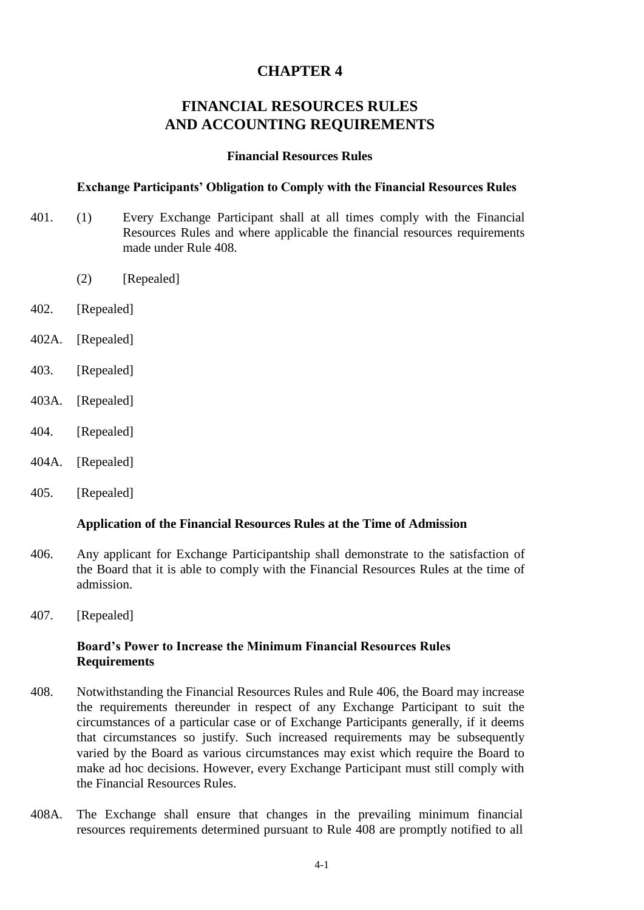# **CHAPTER 4**

# **FINANCIAL RESOURCES RULES AND ACCOUNTING REQUIREMENTS**

#### **Financial Resources Rules**

#### **Exchange Participants' Obligation to Comply with the Financial Resources Rules**

- 401. (1) Every Exchange Participant shall at all times comply with the Financial Resources Rules and where applicable the financial resources requirements made under Rule 408.
	- (2) [Repealed]
- 402. [Repealed]
- 402A. [Repealed]
- 403. [Repealed]
- 403A. [Repealed]
- 404. [Repealed]
- 404A. [Repealed]
- 405. [Repealed]

#### **Application of the Financial Resources Rules at the Time of Admission**

- 406. Any applicant for Exchange Participantship shall demonstrate to the satisfaction of the Board that it is able to comply with the Financial Resources Rules at the time of admission.
- 407. [Repealed]

#### **Board's Power to Increase the Minimum Financial Resources Rules Requirements**

- 408. Notwithstanding the Financial Resources Rules and Rule 406, the Board may increase the requirements thereunder in respect of any Exchange Participant to suit the circumstances of a particular case or of Exchange Participants generally, if it deems that circumstances so justify. Such increased requirements may be subsequently varied by the Board as various circumstances may exist which require the Board to make ad hoc decisions. However, every Exchange Participant must still comply with the Financial Resources Rules.
- 408A. The Exchange shall ensure that changes in the prevailing minimum financial resources requirements determined pursuant to Rule 408 are promptly notified to all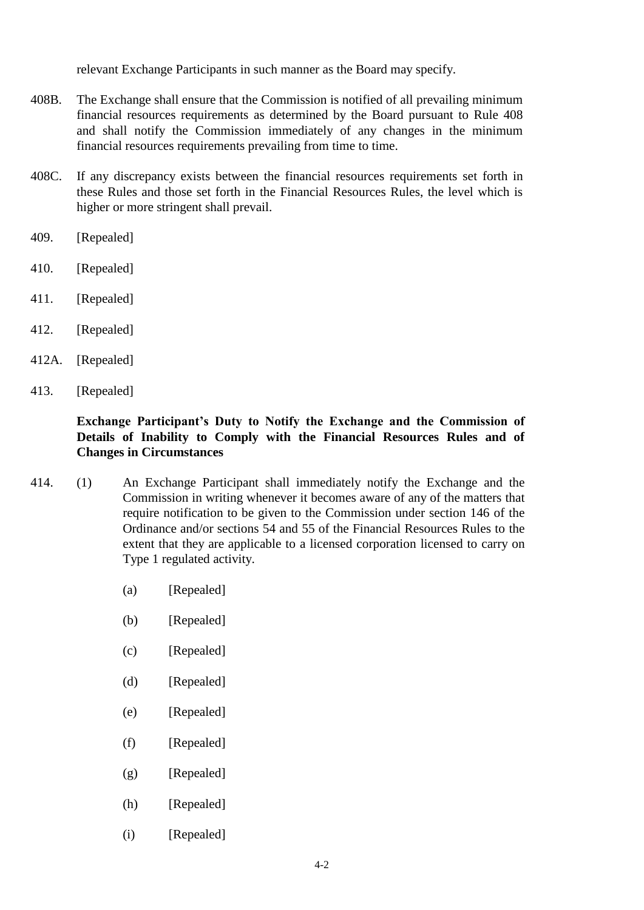relevant Exchange Participants in such manner as the Board may specify.

- 408B. The Exchange shall ensure that the Commission is notified of all prevailing minimum financial resources requirements as determined by the Board pursuant to Rule 408 and shall notify the Commission immediately of any changes in the minimum financial resources requirements prevailing from time to time.
- 408C. If any discrepancy exists between the financial resources requirements set forth in these Rules and those set forth in the Financial Resources Rules, the level which is higher or more stringent shall prevail.
- 409. [Repealed]
- 410. [Repealed]
- 411. [Repealed]
- 412. [Repealed]
- 412A. [Repealed]
- 413. [Repealed]

### **Exchange Participant's Duty to Notify the Exchange and the Commission of Details of Inability to Comply with the Financial Resources Rules and of Changes in Circumstances**

- 414. (1) An Exchange Participant shall immediately notify the Exchange and the Commission in writing whenever it becomes aware of any of the matters that require notification to be given to the Commission under section 146 of the Ordinance and/or sections 54 and 55 of the Financial Resources Rules to the extent that they are applicable to a licensed corporation licensed to carry on Type 1 regulated activity.
	- (a) [Repealed]
	- (b) [Repealed]
	- (c) [Repealed]
	- (d) [Repealed]
	- (e) [Repealed]
	- (f) [Repealed]
	- (g) [Repealed]
	- (h) [Repealed]
	- (i) [Repealed]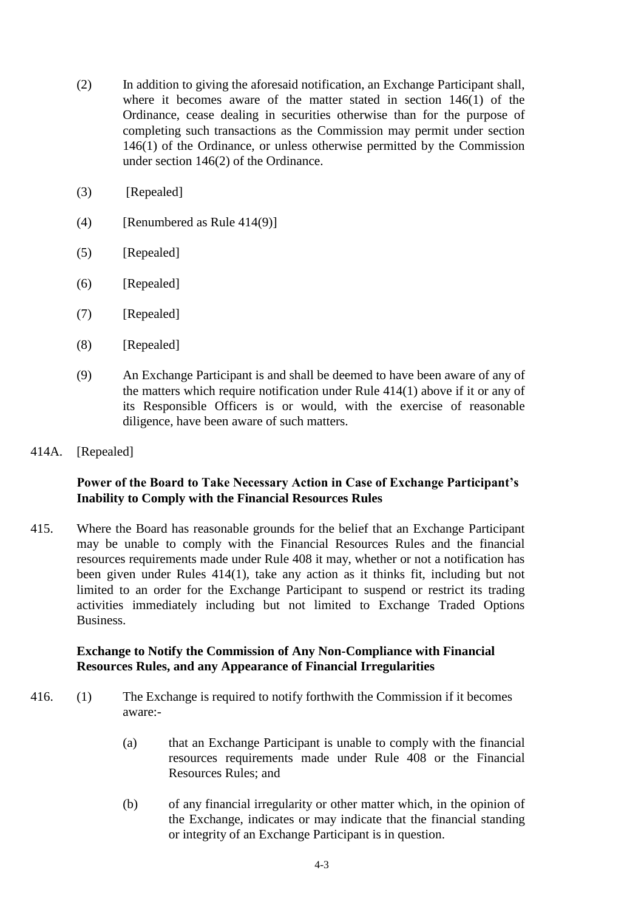- (2) In addition to giving the aforesaid notification, an Exchange Participant shall, where it becomes aware of the matter stated in section 146(1) of the Ordinance, cease dealing in securities otherwise than for the purpose of completing such transactions as the Commission may permit under section 146(1) of the Ordinance, or unless otherwise permitted by the Commission under section 146(2) of the Ordinance.
- (3) [Repealed]
- $(4)$  [Renumbered as Rule 414(9)]
- (5) [Repealed]
- (6) [Repealed]
- (7) [Repealed]
- (8) [Repealed]
- (9) An Exchange Participant is and shall be deemed to have been aware of any of the matters which require notification under Rule 414(1) above if it or any of its Responsible Officers is or would, with the exercise of reasonable diligence, have been aware of such matters.
- 414A. [Repealed]

### **Power of the Board to Take Necessary Action in Case of Exchange Participant's Inability to Comply with the Financial Resources Rules**

415. Where the Board has reasonable grounds for the belief that an Exchange Participant may be unable to comply with the Financial Resources Rules and the financial resources requirements made under Rule 408 it may, whether or not a notification has been given under Rules 414(1), take any action as it thinks fit, including but not limited to an order for the Exchange Participant to suspend or restrict its trading activities immediately including but not limited to Exchange Traded Options Business.

### **Exchange to Notify the Commission of Any Non-Compliance with Financial Resources Rules, and any Appearance of Financial Irregularities**

- 416. (1) The Exchange is required to notify forthwith the Commission if it becomes aware:-
	- (a) that an Exchange Participant is unable to comply with the financial resources requirements made under Rule 408 or the Financial Resources Rules; and
	- (b) of any financial irregularity or other matter which, in the opinion of the Exchange, indicates or may indicate that the financial standing or integrity of an Exchange Participant is in question.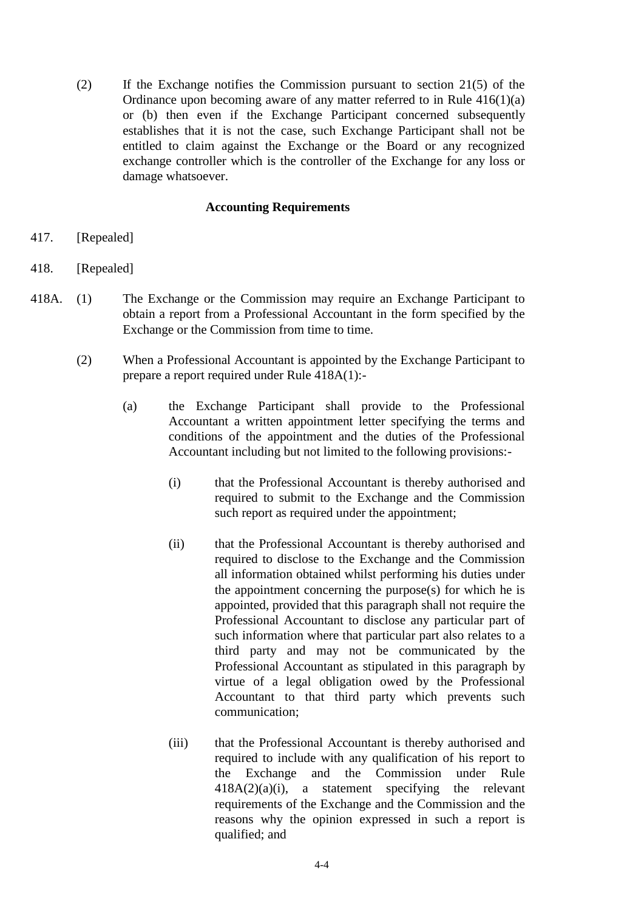(2) If the Exchange notifies the Commission pursuant to section 21(5) of the Ordinance upon becoming aware of any matter referred to in Rule 416(1)(a) or (b) then even if the Exchange Participant concerned subsequently establishes that it is not the case, such Exchange Participant shall not be entitled to claim against the Exchange or the Board or any recognized exchange controller which is the controller of the Exchange for any loss or damage whatsoever.

#### **Accounting Requirements**

- 417. [Repealed]
- 418. [Repealed]
- 418A. (1) The Exchange or the Commission may require an Exchange Participant to obtain a report from a Professional Accountant in the form specified by the Exchange or the Commission from time to time.
	- (2) When a Professional Accountant is appointed by the Exchange Participant to prepare a report required under Rule 418A(1):-
		- (a) the Exchange Participant shall provide to the Professional Accountant a written appointment letter specifying the terms and conditions of the appointment and the duties of the Professional Accountant including but not limited to the following provisions:-
			- (i) that the Professional Accountant is thereby authorised and required to submit to the Exchange and the Commission such report as required under the appointment;
			- (ii) that the Professional Accountant is thereby authorised and required to disclose to the Exchange and the Commission all information obtained whilst performing his duties under the appointment concerning the purpose(s) for which he is appointed, provided that this paragraph shall not require the Professional Accountant to disclose any particular part of such information where that particular part also relates to a third party and may not be communicated by the Professional Accountant as stipulated in this paragraph by virtue of a legal obligation owed by the Professional Accountant to that third party which prevents such communication;
			- (iii) that the Professional Accountant is thereby authorised and required to include with any qualification of his report to the Exchange and the Commission under Rule  $418A(2)(a)(i)$ , a statement specifying the relevant requirements of the Exchange and the Commission and the reasons why the opinion expressed in such a report is qualified; and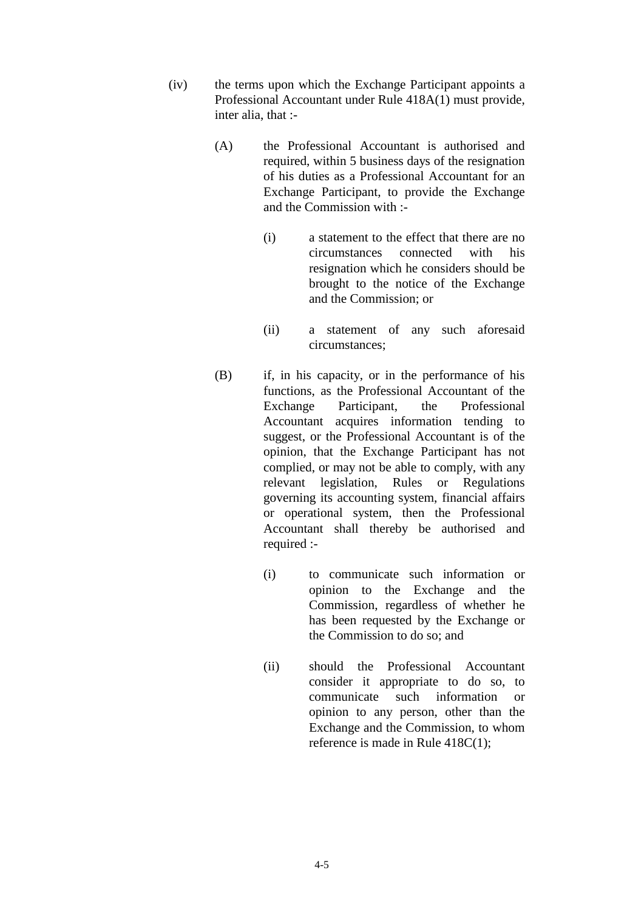- (iv) the terms upon which the Exchange Participant appoints a Professional Accountant under Rule 418A(1) must provide, inter alia, that :-
	- (A) the Professional Accountant is authorised and required, within 5 business days of the resignation of his duties as a Professional Accountant for an Exchange Participant, to provide the Exchange and the Commission with :-
		- (i) a statement to the effect that there are no circumstances connected with his resignation which he considers should be brought to the notice of the Exchange and the Commission; or
		- (ii) a statement of any such aforesaid circumstances;
	- (B) if, in his capacity, or in the performance of his functions, as the Professional Accountant of the Exchange Participant, the Professional Accountant acquires information tending to suggest, or the Professional Accountant is of the opinion, that the Exchange Participant has not complied, or may not be able to comply, with any relevant legislation, Rules or Regulations governing its accounting system, financial affairs or operational system, then the Professional Accountant shall thereby be authorised and required :-
		- (i) to communicate such information or opinion to the Exchange and the Commission, regardless of whether he has been requested by the Exchange or the Commission to do so; and
		- (ii) should the Professional Accountant consider it appropriate to do so, to communicate such information or opinion to any person, other than the Exchange and the Commission, to whom reference is made in Rule 418C(1);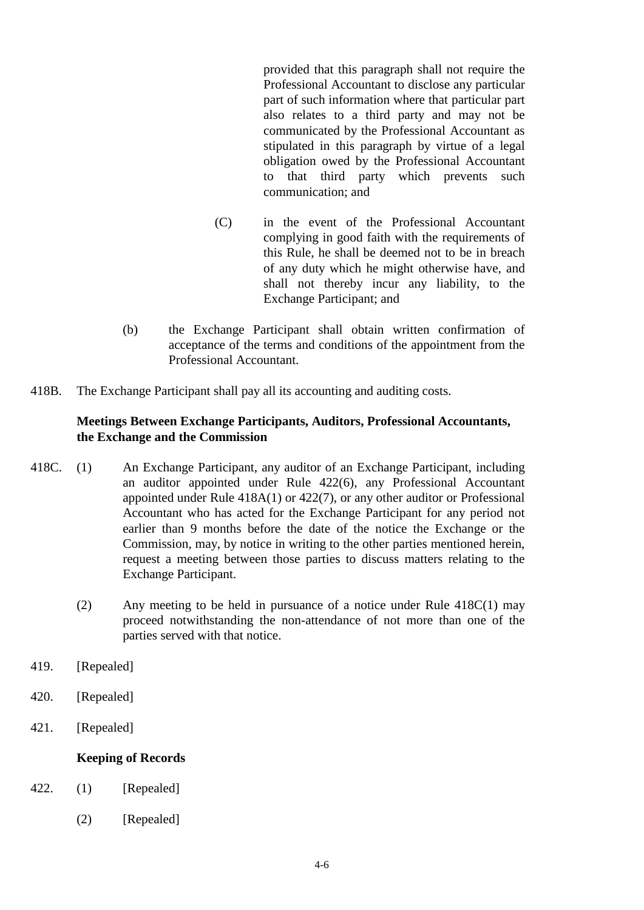provided that this paragraph shall not require the Professional Accountant to disclose any particular part of such information where that particular part also relates to a third party and may not be communicated by the Professional Accountant as stipulated in this paragraph by virtue of a legal obligation owed by the Professional Accountant to that third party which prevents such communication; and

- (C) in the event of the Professional Accountant complying in good faith with the requirements of this Rule, he shall be deemed not to be in breach of any duty which he might otherwise have, and shall not thereby incur any liability, to the Exchange Participant; and
- (b) the Exchange Participant shall obtain written confirmation of acceptance of the terms and conditions of the appointment from the Professional Accountant.
- 418B. The Exchange Participant shall pay all its accounting and auditing costs.

#### **Meetings Between Exchange Participants, Auditors, Professional Accountants, the Exchange and the Commission**

- 418C. (1) An Exchange Participant, any auditor of an Exchange Participant, including an auditor appointed under Rule 422(6), any Professional Accountant appointed under Rule 418A(1) or 422(7), or any other auditor or Professional Accountant who has acted for the Exchange Participant for any period not earlier than 9 months before the date of the notice the Exchange or the Commission, may, by notice in writing to the other parties mentioned herein, request a meeting between those parties to discuss matters relating to the Exchange Participant.
	- (2) Any meeting to be held in pursuance of a notice under Rule 418C(1) may proceed notwithstanding the non-attendance of not more than one of the parties served with that notice.
- 419. [Repealed]
- 420. [Repealed]
- 421. [Repealed]

## **Keeping of Records**

- 422. (1) [Repealed]
	- (2) [Repealed]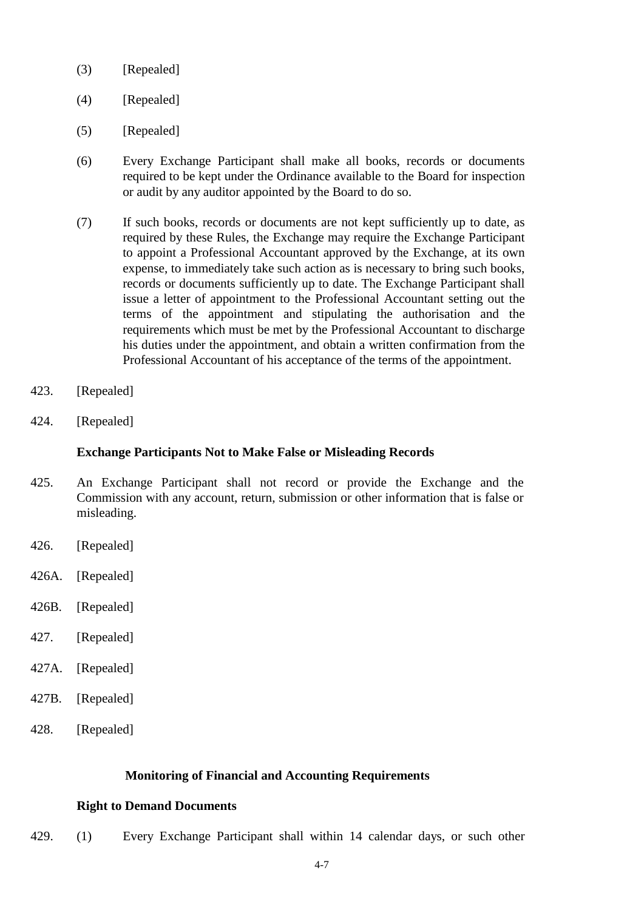- (3) [Repealed]
- (4) [Repealed]
- (5) [Repealed]
- (6) Every Exchange Participant shall make all books, records or documents required to be kept under the Ordinance available to the Board for inspection or audit by any auditor appointed by the Board to do so.
- (7) If such books, records or documents are not kept sufficiently up to date, as required by these Rules, the Exchange may require the Exchange Participant to appoint a Professional Accountant approved by the Exchange, at its own expense, to immediately take such action as is necessary to bring such books, records or documents sufficiently up to date. The Exchange Participant shall issue a letter of appointment to the Professional Accountant setting out the terms of the appointment and stipulating the authorisation and the requirements which must be met by the Professional Accountant to discharge his duties under the appointment, and obtain a written confirmation from the Professional Accountant of his acceptance of the terms of the appointment.
- 423. [Repealed]
- 424. [Repealed]

#### **Exchange Participants Not to Make False or Misleading Records**

- 425. An Exchange Participant shall not record or provide the Exchange and the Commission with any account, return, submission or other information that is false or misleading.
- 426. [Repealed]
- 426A. [Repealed]
- 426B. [Repealed]
- 427. [Repealed]
- 427A. [Repealed]
- 427B. [Repealed]
- 428. [Repealed]

#### **Monitoring of Financial and Accounting Requirements**

#### **Right to Demand Documents**

429. (1) Every Exchange Participant shall within 14 calendar days, or such other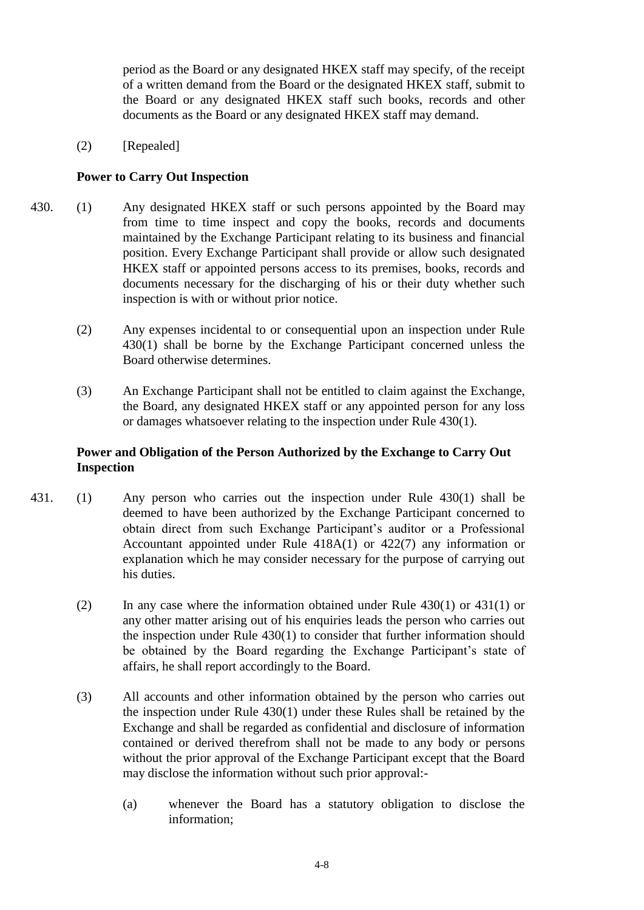period as the Board or any designated HKEX staff may specify, of the receipt of a written demand from the Board or the designated HKEX staff, submit to the Board or any designated HKEX staff such books, records and other documents as the Board or any designated HKEX staff may demand.

(2) [Repealed]

## **Power to Carry Out Inspection**

- 430. (1) Any designated HKEX staff or such persons appointed by the Board may from time to time inspect and copy the books, records and documents maintained by the Exchange Participant relating to its business and financial position. Every Exchange Participant shall provide or allow such designated HKEX staff or appointed persons access to its premises, books, records and documents necessary for the discharging of his or their duty whether such inspection is with or without prior notice.
	- (2) Any expenses incidental to or consequential upon an inspection under Rule 430(1) shall be borne by the Exchange Participant concerned unless the Board otherwise determines.
	- (3) An Exchange Participant shall not be entitled to claim against the Exchange, the Board, any designated HKEX staff or any appointed person for any loss or damages whatsoever relating to the inspection under Rule 430(1).

## **Power and Obligation of the Person Authorized by the Exchange to Carry Out Inspection**

- 431. (1) Any person who carries out the inspection under Rule 430(1) shall be deemed to have been authorized by the Exchange Participant concerned to obtain direct from such Exchange Participant's auditor or a Professional Accountant appointed under Rule 418A(1) or 422(7) any information or explanation which he may consider necessary for the purpose of carrying out his duties.
	- (2) In any case where the information obtained under Rule 430(1) or 431(1) or any other matter arising out of his enquiries leads the person who carries out the inspection under Rule 430(1) to consider that further information should be obtained by the Board regarding the Exchange Participant's state of affairs, he shall report accordingly to the Board.
	- (3) All accounts and other information obtained by the person who carries out the inspection under Rule 430(1) under these Rules shall be retained by the Exchange and shall be regarded as confidential and disclosure of information contained or derived therefrom shall not be made to any body or persons without the prior approval of the Exchange Participant except that the Board may disclose the information without such prior approval:-
		- (a) whenever the Board has a statutory obligation to disclose the information;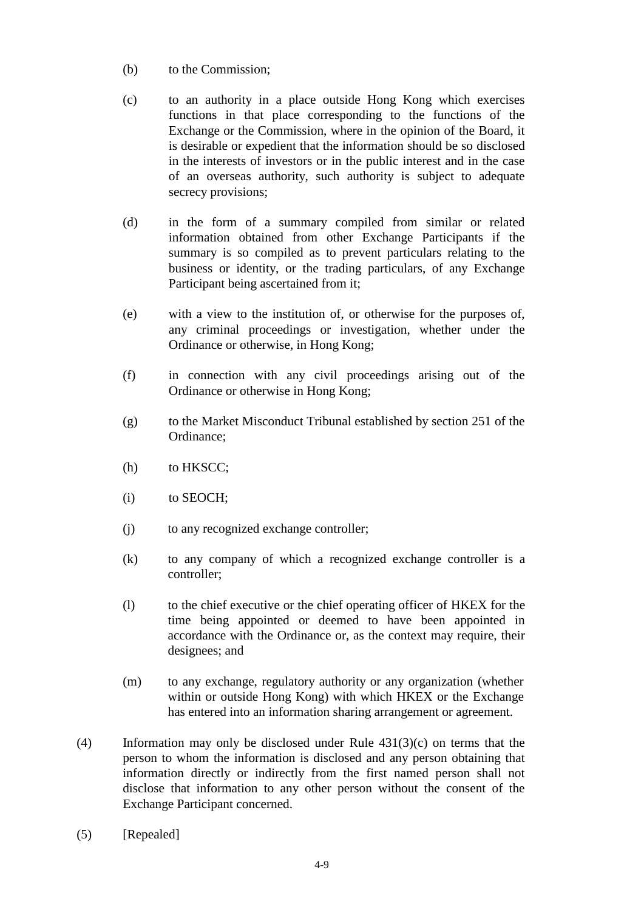- (b) to the Commission;
- (c) to an authority in a place outside Hong Kong which exercises functions in that place corresponding to the functions of the Exchange or the Commission, where in the opinion of the Board, it is desirable or expedient that the information should be so disclosed in the interests of investors or in the public interest and in the case of an overseas authority, such authority is subject to adequate secrecy provisions;
- (d) in the form of a summary compiled from similar or related information obtained from other Exchange Participants if the summary is so compiled as to prevent particulars relating to the business or identity, or the trading particulars, of any Exchange Participant being ascertained from it;
- (e) with a view to the institution of, or otherwise for the purposes of, any criminal proceedings or investigation, whether under the Ordinance or otherwise, in Hong Kong;
- (f) in connection with any civil proceedings arising out of the Ordinance or otherwise in Hong Kong;
- (g) to the Market Misconduct Tribunal established by section 251 of the Ordinance;
- (h) to HKSCC;
- (i) to SEOCH;
- (j) to any recognized exchange controller;
- (k) to any company of which a recognized exchange controller is a controller;
- (l) to the chief executive or the chief operating officer of HKEX for the time being appointed or deemed to have been appointed in accordance with the Ordinance or, as the context may require, their designees; and
- (m) to any exchange, regulatory authority or any organization (whether within or outside Hong Kong) with which HKEX or the Exchange has entered into an information sharing arrangement or agreement.
- (4) Information may only be disclosed under Rule 431(3)(c) on terms that the person to whom the information is disclosed and any person obtaining that information directly or indirectly from the first named person shall not disclose that information to any other person without the consent of the Exchange Participant concerned.
- (5) [Repealed]